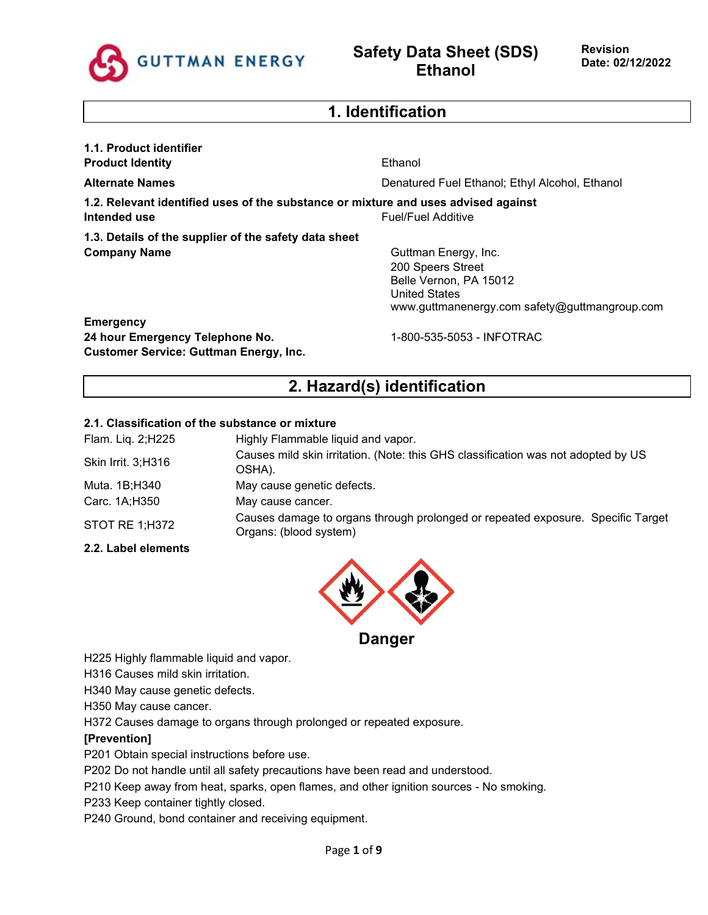

## **1. Identification**

| 1.1. Product identifier                                                                            |                                                                                                                                              |
|----------------------------------------------------------------------------------------------------|----------------------------------------------------------------------------------------------------------------------------------------------|
| <b>Product Identity</b>                                                                            | Ethanol                                                                                                                                      |
| <b>Alternate Names</b>                                                                             | Denatured Fuel Ethanol; Ethyl Alcohol, Ethanol                                                                                               |
| 1.2. Relevant identified uses of the substance or mixture and uses advised against<br>Intended use | Fuel/Fuel Additive                                                                                                                           |
| 1.3. Details of the supplier of the safety data sheet                                              |                                                                                                                                              |
| <b>Company Name</b>                                                                                | Guttman Energy, Inc.<br>200 Speers Street<br>Belle Vernon, PA 15012<br><b>United States</b><br>www.guttmanenergy.com safety@guttmangroup.com |
| <b>Emergency</b>                                                                                   |                                                                                                                                              |
| 24 hour Emergency Telephone No.<br><b>Customer Service: Guttman Energy, Inc.</b>                   | 1-800-535-5053 - INFOTRAC                                                                                                                    |
|                                                                                                    | 2. Hazard(s) identification                                                                                                                  |

### **2.1. Classification of the substance or mixture**

| Flam. Liq. 2;H225  | Highly Flammable liquid and vapor.                                                                        |
|--------------------|-----------------------------------------------------------------------------------------------------------|
| Skin Irrit. 3;H316 | Causes mild skin irritation. (Note: this GHS classification was not adopted by US<br>OSHA).               |
| Muta. 1B;H340      | May cause genetic defects.                                                                                |
| Carc. 1A;H350      | May cause cancer.                                                                                         |
| STOT RE 1;H372     | Causes damage to organs through prolonged or repeated exposure. Specific Target<br>Organs: (blood system) |
|                    |                                                                                                           |

# **2.2. Label elements**



**Danger** 

H225 Highly flammable liquid and vapor.

H316 Causes mild skin irritation.

H340 May cause genetic defects.

H350 May cause cancer.

H372 Causes damage to organs through prolonged or repeated exposure.

### **[Prevention]**

P201 Obtain special instructions before use.

P202 Do not handle until all safety precautions have been read and understood.

P210 Keep away from heat, sparks, open flames, and other ignition sources - No smoking.

P233 Keep container tightly closed.

P240 Ground, bond container and receiving equipment.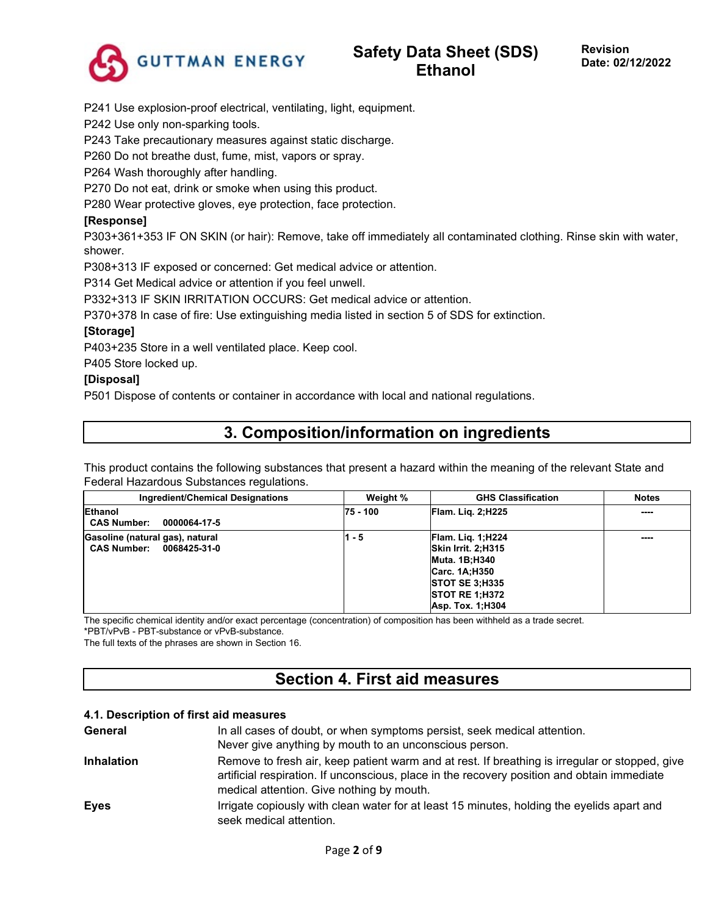

P241 Use explosion-proof electrical, ventilating, light, equipment.

P242 Use only non-sparking tools.

P243 Take precautionary measures against static discharge.

P260 Do not breathe dust, fume, mist, vapors or spray.

P264 Wash thoroughly after handling.

P270 Do not eat, drink or smoke when using this product.

P280 Wear protective gloves, eye protection, face protection.

### **[Response]**

P303+361+353 IF ON SKIN (or hair): Remove, take off immediately all contaminated clothing. Rinse skin with water, shower.

P308+313 IF exposed or concerned: Get medical advice or attention.

P314 Get Medical advice or attention if you feel unwell.

P332+313 IF SKIN IRRITATION OCCURS: Get medical advice or attention.

P370+378 In case of fire: Use extinguishing media listed in section 5 of SDS for extinction.

### **[Storage]**

P403+235 Store in a well ventilated place. Keep cool.

P405 Store locked up.

### **[Disposal]**

P501 Dispose of contents or container in accordance with local and national regulations.

## **3. Composition/information on ingredients**

This product contains the following substances that present a hazard within the meaning of the relevant State and Federal Hazardous Substances regulations.

| Ingredient/Chemical Designations                                      | Weight % | <b>GHS Classification</b>                                                                                                                                                    | <b>Notes</b> |
|-----------------------------------------------------------------------|----------|------------------------------------------------------------------------------------------------------------------------------------------------------------------------------|--------------|
| <b>Ethanol</b><br><b>CAS Number:</b><br>0000064-17-5                  | 75 - 100 | <b>Flam. Lig. 2; H225</b>                                                                                                                                                    | ----         |
| Gasoline (natural gas), natural<br><b>CAS Number:</b><br>0068425-31-0 | 1 - 5    | <b>Flam. Lig. 1:H224</b><br>Skin Irrit. 2:H315<br>Muta. 1B:H340<br>Carc. 1A:H350<br><b>STOT SE 3:H335</b><br>$\overline{\text{STOT RE 1}}$ : H372<br><b>Asp. Tox. 1:H304</b> | ----         |

The specific chemical identity and/or exact percentage (concentration) of composition has been withheld as a trade secret.

\*PBT/vPvB - PBT-substance or vPvB-substance.

The full texts of the phrases are shown in Section 16.

## **Section 4. First aid measures**

#### **4.1. Description of first aid measures**

| General           | In all cases of doubt, or when symptoms persist, seek medical attention.                                                                                                                                                                   |
|-------------------|--------------------------------------------------------------------------------------------------------------------------------------------------------------------------------------------------------------------------------------------|
|                   | Never give anything by mouth to an unconscious person.                                                                                                                                                                                     |
| <b>Inhalation</b> | Remove to fresh air, keep patient warm and at rest. If breathing is irregular or stopped, give<br>artificial respiration. If unconscious, place in the recovery position and obtain immediate<br>medical attention. Give nothing by mouth. |
| <b>Eyes</b>       | Irrigate copiously with clean water for at least 15 minutes, holding the eyelids apart and<br>seek medical attention.                                                                                                                      |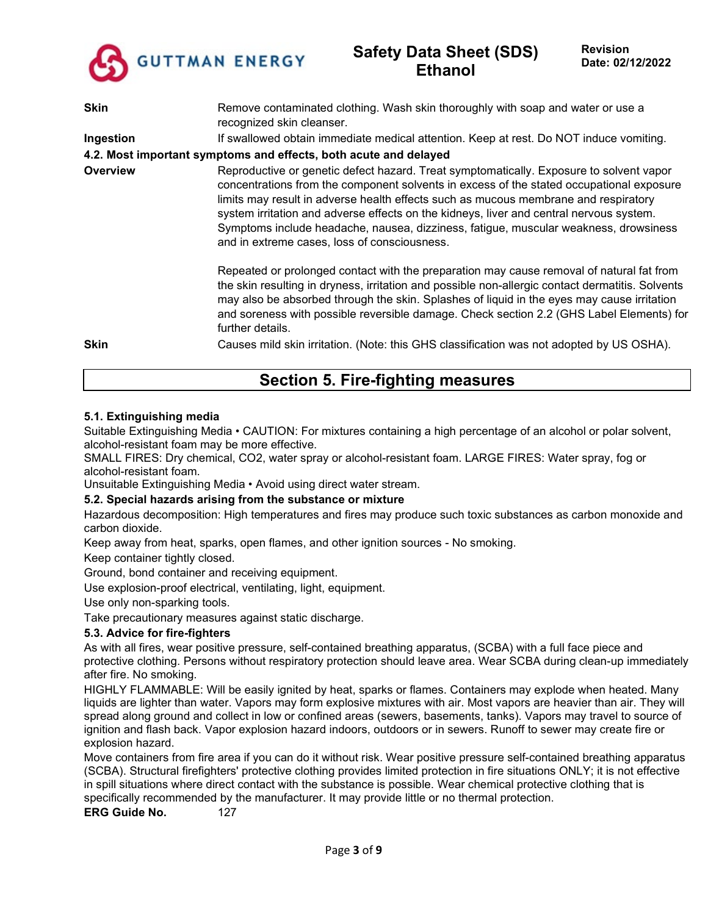

## **Safety Data Sheet (SDS) Ethanol**

| <b>Skin</b> | Remove contaminated clothing. Wash skin thoroughly with soap and water or use a<br>recognized skin cleanser.                                                                                                                                                                                                                                                                                                                                                                                                  |
|-------------|---------------------------------------------------------------------------------------------------------------------------------------------------------------------------------------------------------------------------------------------------------------------------------------------------------------------------------------------------------------------------------------------------------------------------------------------------------------------------------------------------------------|
| Ingestion   | If swallowed obtain immediate medical attention. Keep at rest. Do NOT induce vomiting.                                                                                                                                                                                                                                                                                                                                                                                                                        |
|             | 4.2. Most important symptoms and effects, both acute and delayed                                                                                                                                                                                                                                                                                                                                                                                                                                              |
| Overview    | Reproductive or genetic defect hazard. Treat symptomatically. Exposure to solvent vapor<br>concentrations from the component solvents in excess of the stated occupational exposure<br>limits may result in adverse health effects such as mucous membrane and respiratory<br>system irritation and adverse effects on the kidneys, liver and central nervous system.<br>Symptoms include headache, nausea, dizziness, fatigue, muscular weakness, drowsiness<br>and in extreme cases, loss of consciousness. |
|             | Repeated or prolonged contact with the preparation may cause removal of natural fat from<br>the skin resulting in dryness, irritation and possible non-allergic contact dermatitis. Solvents<br>may also be absorbed through the skin. Splashes of liquid in the eyes may cause irritation<br>and soreness with possible reversible damage. Check section 2.2 (GHS Label Elements) for<br>further details.                                                                                                    |
| <b>Skin</b> | Causes mild skin irritation. (Note: this GHS classification was not adopted by US OSHA).                                                                                                                                                                                                                                                                                                                                                                                                                      |

## **Section 5. Fire-fighting measures**

### **5.1. Extinguishing media**

Suitable Extinguishing Media • CAUTION: For mixtures containing a high percentage of an alcohol or polar solvent, alcohol-resistant foam may be more effective.

SMALL FIRES: Dry chemical, CO2, water spray or alcohol-resistant foam. LARGE FIRES: Water spray, fog or alcohol-resistant foam.

Unsuitable Extinguishing Media • Avoid using direct water stream.

#### **5.2. Special hazards arising from the substance or mixture**

Hazardous decomposition: High temperatures and fires may produce such toxic substances as carbon monoxide and carbon dioxide.

Keep away from heat, sparks, open flames, and other ignition sources - No smoking.

Keep container tightly closed.

Ground, bond container and receiving equipment.

Use explosion-proof electrical, ventilating, light, equipment.

Use only non-sparking tools.

Take precautionary measures against static discharge.

#### **5.3. Advice for fire-fighters**

As with all fires, wear positive pressure, self-contained breathing apparatus, (SCBA) with a full face piece and protective clothing. Persons without respiratory protection should leave area. Wear SCBA during clean-up immediately after fire. No smoking.

HIGHLY FLAMMABLE: Will be easily ignited by heat, sparks or flames. Containers may explode when heated. Many liquids are lighter than water. Vapors may form explosive mixtures with air. Most vapors are heavier than air. They will spread along ground and collect in low or confined areas (sewers, basements, tanks). Vapors may travel to source of ignition and flash back. Vapor explosion hazard indoors, outdoors or in sewers. Runoff to sewer may create fire or explosion hazard.

Move containers from fire area if you can do it without risk. Wear positive pressure self-contained breathing apparatus (SCBA). Structural firefighters' protective clothing provides limited protection in fire situations ONLY; it is not effective in spill situations where direct contact with the substance is possible. Wear chemical protective clothing that is specifically recommended by the manufacturer. It may provide little or no thermal protection.

**ERG Guide No.** 127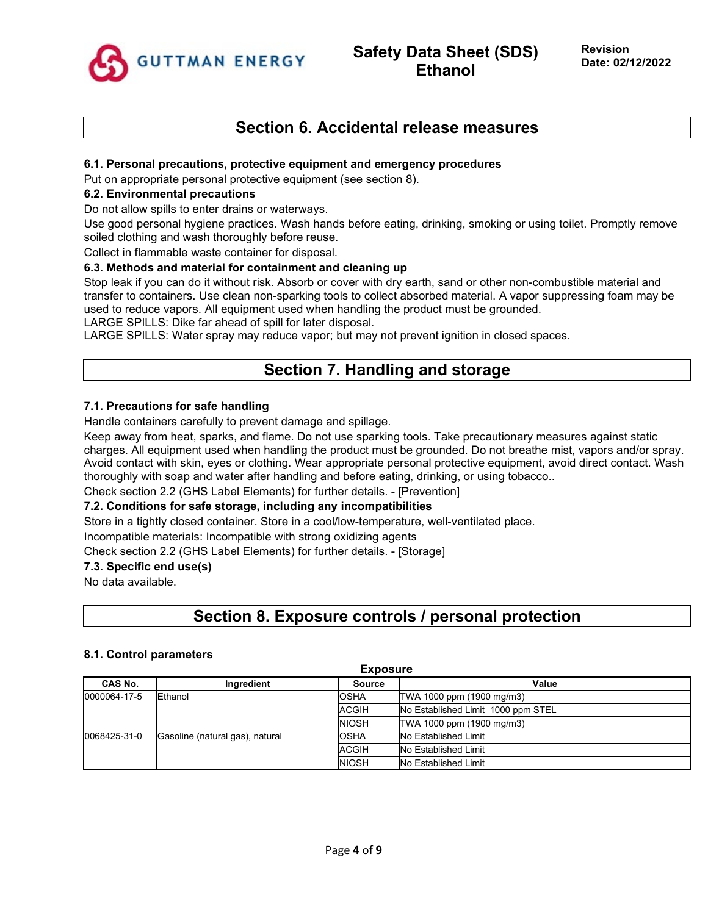

## **Section 6. Accidental release measures**

#### **6.1. Personal precautions, protective equipment and emergency procedures**

Put on appropriate personal protective equipment (see section 8).

#### **6.2. Environmental precautions**

Do not allow spills to enter drains or waterways.

Use good personal hygiene practices. Wash hands before eating, drinking, smoking or using toilet. Promptly remove soiled clothing and wash thoroughly before reuse.

Collect in flammable waste container for disposal.

### **6.3. Methods and material for containment and cleaning up**

Stop leak if you can do it without risk. Absorb or cover with dry earth, sand or other non-combustible material and transfer to containers. Use clean non-sparking tools to collect absorbed material. A vapor suppressing foam may be used to reduce vapors. All equipment used when handling the product must be grounded.

LARGE SPILLS: Dike far ahead of spill for later disposal.

LARGE SPILLS: Water spray may reduce vapor; but may not prevent ignition in closed spaces.

## **Section 7. Handling and storage**

### **7.1. Precautions for safe handling**

Handle containers carefully to prevent damage and spillage.

Keep away from heat, sparks, and flame. Do not use sparking tools. Take precautionary measures against static charges. All equipment used when handling the product must be grounded. Do not breathe mist, vapors and/or spray. Avoid contact with skin, eyes or clothing. Wear appropriate personal protective equipment, avoid direct contact. Wash thoroughly with soap and water after handling and before eating, drinking, or using tobacco..

Check section 2.2 (GHS Label Elements) for further details. - [Prevention]

#### **7.2. Conditions for safe storage, including any incompatibilities**

Store in a tightly closed container. Store in a cool/low-temperature, well-ventilated place.

Incompatible materials: Incompatible with strong oxidizing agents

Check section 2.2 (GHS Label Elements) for further details. - [Storage]

#### **7.3. Specific end use(s)**

No data available.

## **Section 8. Exposure controls / personal protection**

#### **8.1. Control parameters**

| <b>Exposure</b> |                                 |               |                                    |  |
|-----------------|---------------------------------|---------------|------------------------------------|--|
| CAS No.         | Ingredient                      | <b>Source</b> | Value                              |  |
| 0000064-17-5    | Ethanol                         | <b>OSHA</b>   | TWA 1000 ppm (1900 mg/m3)          |  |
|                 |                                 | <b>ACGIH</b>  | No Established Limit 1000 ppm STEL |  |
|                 |                                 | <b>NIOSH</b>  | TWA 1000 ppm (1900 mg/m3)          |  |
| 0068425-31-0    | Gasoline (natural gas), natural | <b>OSHA</b>   | No Established Limit               |  |
|                 |                                 | <b>ACGIH</b>  | <b>No Established Limit</b>        |  |
|                 |                                 | <b>NIOSH</b>  | No Established Limit               |  |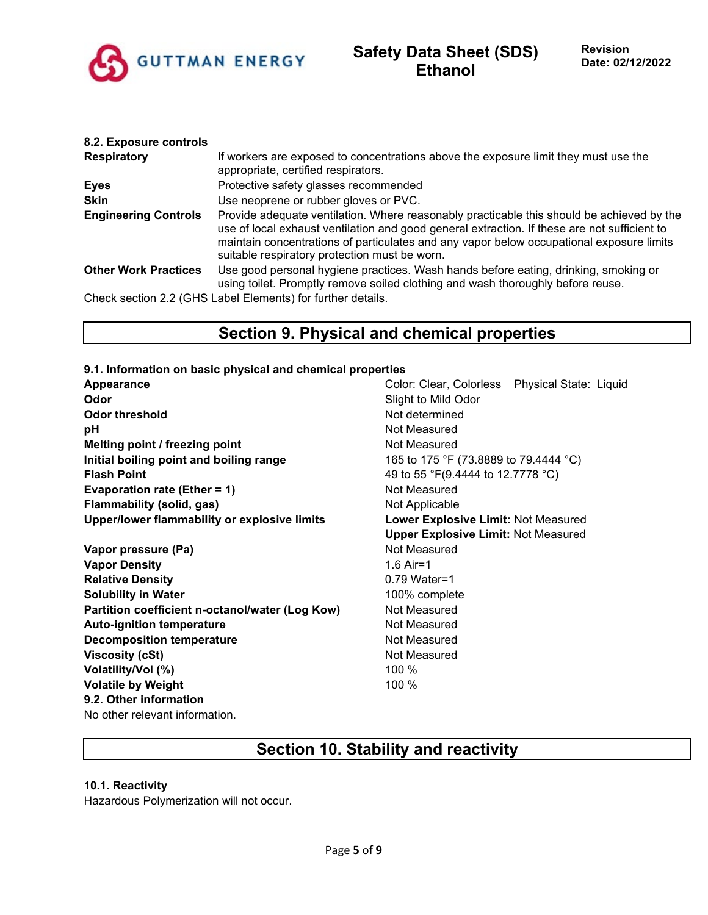

| 8.2. Exposure controls      |                                                                                                                                                                                                                                                                                                                                        |
|-----------------------------|----------------------------------------------------------------------------------------------------------------------------------------------------------------------------------------------------------------------------------------------------------------------------------------------------------------------------------------|
| <b>Respiratory</b>          | If workers are exposed to concentrations above the exposure limit they must use the<br>appropriate, certified respirators.                                                                                                                                                                                                             |
| <b>Eyes</b>                 | Protective safety glasses recommended                                                                                                                                                                                                                                                                                                  |
| <b>Skin</b>                 | Use neoprene or rubber gloves or PVC.                                                                                                                                                                                                                                                                                                  |
| <b>Engineering Controls</b> | Provide adequate ventilation. Where reasonably practicable this should be achieved by the<br>use of local exhaust ventilation and good general extraction. If these are not sufficient to<br>maintain concentrations of particulates and any vapor below occupational exposure limits<br>suitable respiratory protection must be worn. |
| <b>Other Work Practices</b> | Use good personal hygiene practices. Wash hands before eating, drinking, smoking or<br>using toilet. Promptly remove soiled clothing and wash thoroughly before reuse.                                                                                                                                                                 |
|                             | Check section 2.2 (GHS Label Elements) for further details.                                                                                                                                                                                                                                                                            |

## **Section 9. Physical and chemical properties**

- **9.1. Information on basic physical and chemical properties Appearance Color: Clear, Colorless Physical State: Liquid Color: Clear, Colorless Physical State: Liquid Odor** Slight to Mild Odor **Odor threshold** Not determined **pH bH** *pH* **Melting point / freezing point** Not Measured **Initial boiling point and boiling range** 165 to 175 °F (73.8889 to 79.4444 °C) **Flash Point** 49 to 55 °F(9.4444 to 12.7778 °C) **Evaporation rate (Ether = 1)** Not Measured **Flammability (solid, gas)** Not Applicable **Upper/lower flammability or explosive limits Lower Explosive Limit:** Not Measured
- **Vapor pressure (Pa)** Not Measured **Vapor Density** 1.6 Air=1 **Relative Density Density 0.79 Water=1 Solubility in Water** 100% complete **Partition coefficient n-octanol/water (Log Kow)** Not Measured **Auto-ignition temperature** Not Measured **Decomposition temperature** Not Measured **Viscosity (cSt)** Not Measured **Volatility/Vol (%)** 100 % **Volatile by Weight** 100 % **9.2. Other information** No other relevant information.

**Upper Explosive Limit:** Not Measured

## **Section 10. Stability and reactivity**

### **10.1. Reactivity**

Hazardous Polymerization will not occur.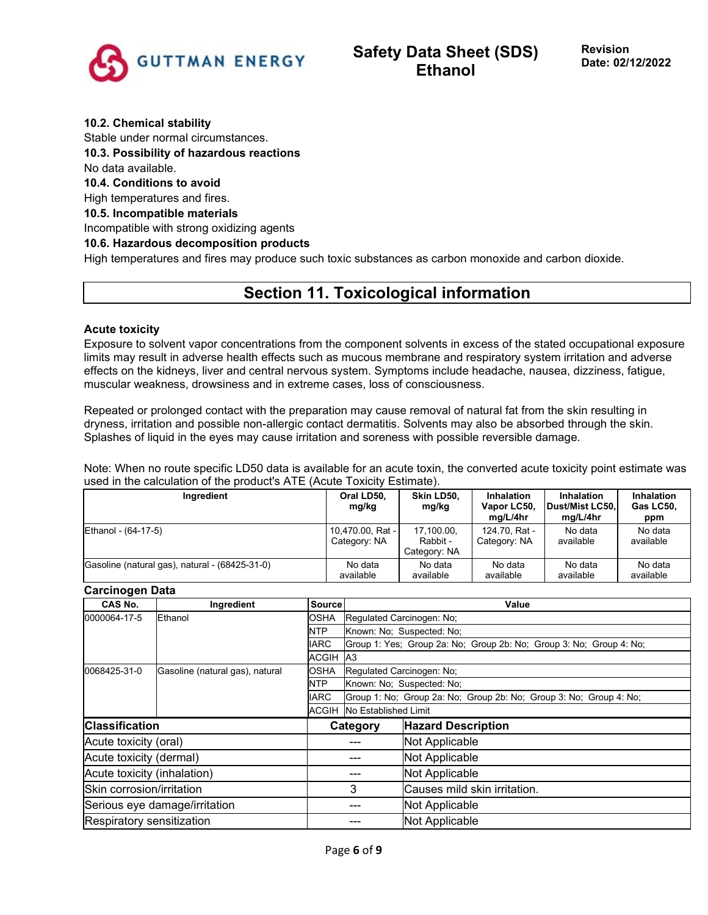

#### **10.2. Chemical stability**

Stable under normal circumstances.

**10.3. Possibility of hazardous reactions**

#### No data available.

**10.4. Conditions to avoid**

High temperatures and fires.

#### **10.5. Incompatible materials**

Incompatible with strong oxidizing agents

### **10.6. Hazardous decomposition products**

High temperatures and fires may produce such toxic substances as carbon monoxide and carbon dioxide.

## **Section 11. Toxicological information**

#### **Acute toxicity**

Exposure to solvent vapor concentrations from the component solvents in excess of the stated occupational exposure limits may result in adverse health effects such as mucous membrane and respiratory system irritation and adverse effects on the kidneys, liver and central nervous system. Symptoms include headache, nausea, dizziness, fatigue, muscular weakness, drowsiness and in extreme cases, loss of consciousness.

Repeated or prolonged contact with the preparation may cause removal of natural fat from the skin resulting in dryness, irritation and possible non-allergic contact dermatitis. Solvents may also be absorbed through the skin. Splashes of liquid in the eyes may cause irritation and soreness with possible reversible damage.

Note: When no route specific LD50 data is available for an acute toxin, the converted acute toxicity point estimate was used in the calculation of the product's ATE (Acute Toxicity Estimate).

| Ingredient                                     | Oral LD50.<br>mg/kg              | Skin LD50,<br>mg/kg                    | Inhalation<br>Vapor LC50,<br>mg/L/4hr | <b>Inhalation</b><br>Dust/Mist LC50.<br>mg/L/4hr | Inhalation<br>Gas LC50,<br>ppm |
|------------------------------------------------|----------------------------------|----------------------------------------|---------------------------------------|--------------------------------------------------|--------------------------------|
| Ethanol - (64-17-5)                            | 10,470.00, Rat -<br>Category: NA | 17,100.00,<br>Rabbit -<br>Category: NA | 124.70, Rat -<br>Category: NA         | No data<br>available                             | No data<br>available           |
| Gasoline (natural gas), natural - (68425-31-0) | No data<br>available             | No data<br>available                   | No data<br>available                  | No data<br>available                             | No data<br>available           |

#### **Carcinogen Data**

| vurvirivguri bulu             |                                 |                                       |                                   |                                                                     |  |  |
|-------------------------------|---------------------------------|---------------------------------------|-----------------------------------|---------------------------------------------------------------------|--|--|
| CAS No.                       | Ingredient                      | Source                                |                                   | Value                                                               |  |  |
| 0000064-17-5                  | Ethanol                         | <b>OSHA</b>                           | Regulated Carcinogen: No:         |                                                                     |  |  |
|                               |                                 | NTP                                   |                                   | Known: No: Suspected: No:                                           |  |  |
|                               |                                 | <b>IARC</b>                           |                                   | Group 1: Yes; Group 2a: No; Group 2b: No; Group 3: No; Group 4: No; |  |  |
|                               |                                 | ACGIH A3                              |                                   |                                                                     |  |  |
| 0068425-31-0                  | Gasoline (natural gas), natural | <b>OSHA</b>                           |                                   | Regulated Carcinogen: No;                                           |  |  |
|                               |                                 | <b>NTP</b>                            |                                   | Known: No: Suspected: No:                                           |  |  |
|                               |                                 | <b>IARC</b>                           |                                   | Group 1: No: Group 2a: No: Group 2b: No: Group 3: No: Group 4: No:  |  |  |
|                               |                                 |                                       | <b>ACGIH</b> No Established Limit |                                                                     |  |  |
| <b>Classification</b>         |                                 | <b>Hazard Description</b><br>Category |                                   |                                                                     |  |  |
| Acute toxicity (oral)         |                                 |                                       | Not Applicable                    |                                                                     |  |  |
| Acute toxicity (dermal)       |                                 |                                       |                                   | Not Applicable                                                      |  |  |
| Acute toxicity (inhalation)   |                                 |                                       |                                   | Not Applicable                                                      |  |  |
| Skin corrosion/irritation     |                                 | 3                                     |                                   | Causes mild skin irritation.                                        |  |  |
| Serious eye damage/irritation |                                 |                                       |                                   | Not Applicable                                                      |  |  |
|                               | Respiratory sensitization       |                                       | Not Applicable                    |                                                                     |  |  |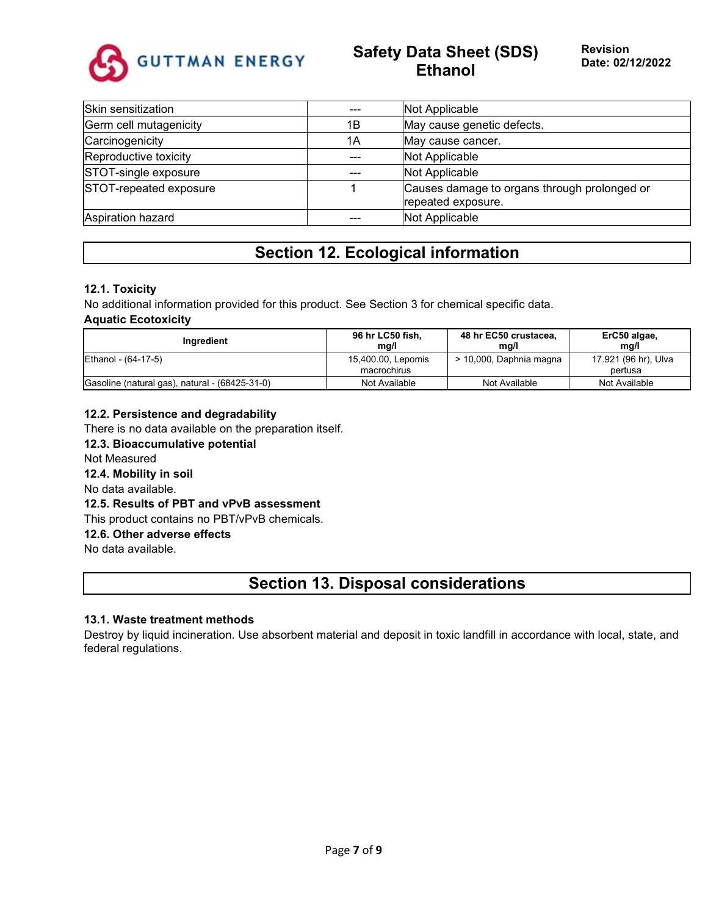

## **Safety Data Sheet (SDS) Ethanol**

| Skin sensitization     |     | Not Applicable                                                     |
|------------------------|-----|--------------------------------------------------------------------|
| Germ cell mutagenicity | 1Β  | May cause genetic defects.                                         |
| Carcinogenicity        | 1Α  | May cause cancer.                                                  |
| Reproductive toxicity  |     | Not Applicable                                                     |
| STOT-single exposure   | --- | Not Applicable                                                     |
| STOT-repeated exposure |     | Causes damage to organs through prolonged or<br>repeated exposure. |
| Aspiration hazard      |     | Not Applicable                                                     |

## **Section 12. Ecological information**

### **12.1. Toxicity**

No additional information provided for this product. See Section 3 for chemical specific data. **Aquatic Ecotoxicity**

| Inaredient                                     | 96 hr LC50 fish,<br>mg/l          | 48 hr EC50 crustacea,<br>mg/l | ErC50 algae,<br>ma/l            |
|------------------------------------------------|-----------------------------------|-------------------------------|---------------------------------|
| Ethanol - (64-17-5)                            | 15,400.00, Lepomis<br>macrochirus | > 10,000, Daphnia magna       | 17.921 (96 hr), Ulva<br>pertusa |
| Gasoline (natural gas), natural - (68425-31-0) | Not Available                     | Not Available                 | Not Available                   |

### **12.2. Persistence and degradability**

There is no data available on the preparation itself.

**12.3. Bioaccumulative potential** Not Measured **12.4. Mobility in soil** No data available. **12.5. Results of PBT and vPvB assessment** This product contains no PBT/vPvB chemicals. **12.6. Other adverse effects** No data available.

## **Section 13. Disposal considerations**

#### **13.1. Waste treatment methods**

Destroy by liquid incineration. Use absorbent material and deposit in toxic landfill in accordance with local, state, and federal regulations.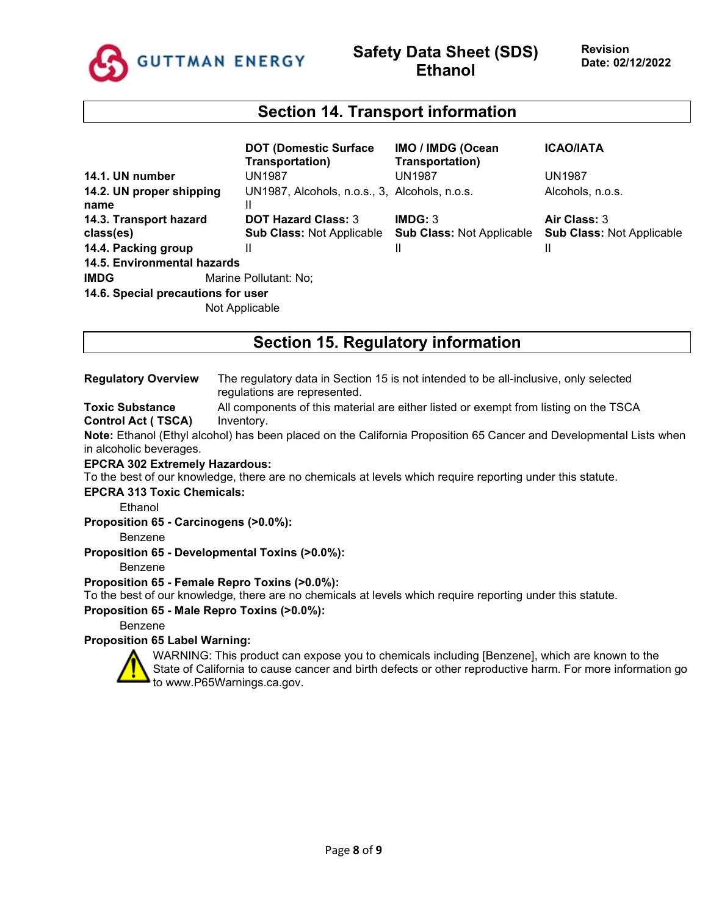

### **Section 14. Transport information**

|                                    | <b>DOT (Domestic Surface)</b><br>Transportation)   | IMO / IMDG (Ocean<br>Transportation) | <b>ICAO/IATA</b>                 |
|------------------------------------|----------------------------------------------------|--------------------------------------|----------------------------------|
| 14.1. UN number                    | UN1987                                             | <b>UN1987</b>                        | <b>UN1987</b>                    |
| 14.2. UN proper shipping<br>name   | UN1987, Alcohols, n.o.s., 3, Alcohols, n.o.s.<br>Ш |                                      | Alcohols, n.o.s.                 |
| 14.3. Transport hazard             | <b>DOT Hazard Class: 3</b>                         | IMDG: 3                              | Air Class: 3                     |
| class(es)                          | <b>Sub Class: Not Applicable</b>                   | <b>Sub Class: Not Applicable</b>     | <b>Sub Class: Not Applicable</b> |
| 14.4. Packing group                | Ш                                                  | Ш                                    |                                  |
| 14.5. Environmental hazards        |                                                    |                                      |                                  |
| <b>IMDG</b>                        | Marine Pollutant: No;                              |                                      |                                  |
| 14.6. Special precautions for user |                                                    |                                      |                                  |
|                                    | Not Applicable                                     |                                      |                                  |

## **Section 15. Regulatory information**

#### **Regulatory Overview** The regulatory data in Section 15 is not intended to be all-inclusive, only selected regulations are represented.

**Toxic Substance Control Act ( TSCA)** All components of this material are either listed or exempt from listing on the TSCA Inventory.

**Note:** Ethanol (Ethyl alcohol) has been placed on the California Proposition 65 Cancer and Developmental Lists when in alcoholic beverages.

#### **EPCRA 302 Extremely Hazardous:**

To the best of our knowledge, there are no chemicals at levels which require reporting under this statute.

#### **EPCRA 313 Toxic Chemicals:**

**Ethanol** 

#### **Proposition 65 - Carcinogens (>0.0%):**

Benzene

#### **Proposition 65 - Developmental Toxins (>0.0%):**

Benzene

#### **Proposition 65 - Female Repro Toxins (>0.0%):**

To the best of our knowledge, there are no chemicals at levels which require reporting under this statute.

#### **Proposition 65 - Male Repro Toxins (>0.0%):**

Benzene

### **Proposition 65 Label Warning:**



WARNING: This product can expose you to chemicals including [Benzene], which are known to the State of California to cause cancer and birth defects or other reproductive harm. For more information go to www.P65Warnings.ca.gov.